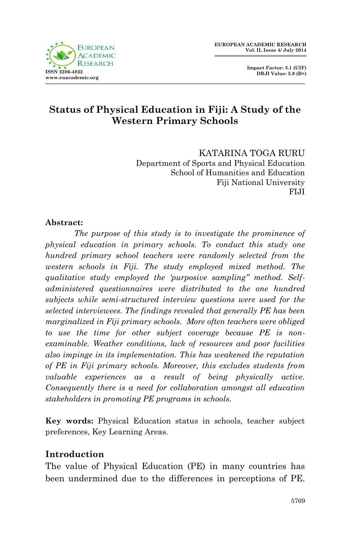



# **Status of Physical Education in Fiji: A Study of the Western Primary Schools**

KATARINA TOGA RURU Department of Sports and Physical Education School of Humanities and Education Fiji National University FIJI

### **Abstract:**

*The purpose of this study is to investigate the prominence of physical education in primary schools. To conduct this study one hundred primary school teachers were randomly selected from the western schools in Fiji. The study employed mixed method. The qualitative study employed the 'purposive sampling" method. Selfadministered questionnaires were distributed to the one hundred subjects while semi-structured interview questions were used for the selected interviewees. The findings revealed that generally PE has been marginalized in Fiji primary schools. More often teachers were obliged to use the time for other subject coverage because PE is nonexaminable. Weather conditions, lack of resources and poor facilities also impinge in its implementation. This has weakened the reputation of PE in Fiji primary schools. Moreover, this excludes students from valuable experiences as a result of being physically active. Consequently there is a need for collaboration amongst all education stakeholders in promoting PE programs in schools.* 

**Key words:** Physical Education status in schools, teacher subject preferences, Key Learning Areas.

## **Introduction**

The value of Physical Education (PE) in many countries has been undermined due to the differences in perceptions of PE.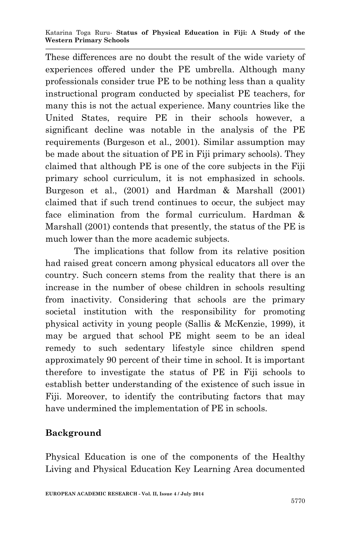#### Katarina Toga Ruru*-* **Status of Physical Education in Fiji: A Study of the Western Primary Schools**

These differences are no doubt the result of the wide variety of experiences offered under the PE umbrella. Although many professionals consider true PE to be nothing less than a quality instructional program conducted by specialist PE teachers, for many this is not the actual experience. Many countries like the United States, require PE in their schools however, a significant decline was notable in the analysis of the PE requirements (Burgeson et al., 2001). Similar assumption may be made about the situation of PE in Fiji primary schools). They claimed that although PE is one of the core subjects in the Fiji primary school curriculum, it is not emphasized in schools. Burgeson et al., (2001) and Hardman & Marshall (2001) claimed that if such trend continues to occur, the subject may face elimination from the formal curriculum. Hardman & Marshall (2001) contends that presently, the status of the PE is much lower than the more academic subjects.

The implications that follow from its relative position had raised great concern among physical educators all over the country. Such concern stems from the reality that there is an increase in the number of obese children in schools resulting from inactivity. Considering that schools are the primary societal institution with the responsibility for promoting physical activity in young people (Sallis & McKenzie, 1999), it may be argued that school PE might seem to be an ideal remedy to such sedentary lifestyle since children spend approximately 90 percent of their time in school. It is important therefore to investigate the status of PE in Fiji schools to establish better understanding of the existence of such issue in Fiji. Moreover, to identify the contributing factors that may have undermined the implementation of PE in schools.

## **Background**

Physical Education is one of the components of the Healthy Living and Physical Education Key Learning Area documented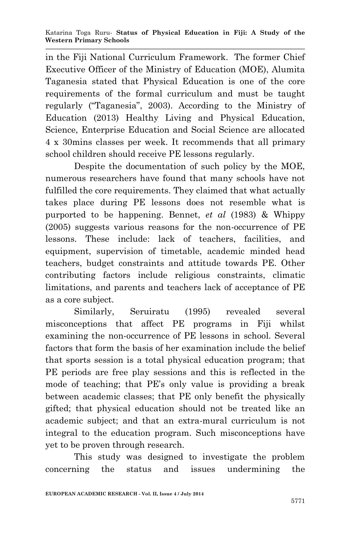in the Fiji National Curriculum Framework. The former Chief Executive Officer of the Ministry of Education (MOE), Alumita Taganesia stated that Physical Education is one of the core requirements of the formal curriculum and must be taught regularly ("Taganesia", 2003). According to the Ministry of Education (2013) Healthy Living and Physical Education, Science, Enterprise Education and Social Science are allocated 4 x 30mins classes per week. It recommends that all primary school children should receive PE lessons regularly.

Despite the documentation of such policy by the MOE, numerous researchers have found that many schools have not fulfilled the core requirements. They claimed that what actually takes place during PE lessons does not resemble what is purported to be happening. Bennet, *et al* (1983) & Whippy (2005) suggests various reasons for the non-occurrence of PE lessons. These include: lack of teachers, facilities, and equipment, supervision of timetable, academic minded head teachers, budget constraints and attitude towards PE. Other contributing factors include religious constraints, climatic limitations, and parents and teachers lack of acceptance of PE as a core subject.

Similarly, Seruiratu (1995) revealed several misconceptions that affect PE programs in Fiji whilst examining the non-occurrence of PE lessons in school. Several factors that form the basis of her examination include the belief that sports session is a total physical education program; that PE periods are free play sessions and this is reflected in the mode of teaching; that PE's only value is providing a break between academic classes; that PE only benefit the physically gifted; that physical education should not be treated like an academic subject; and that an extra-mural curriculum is not integral to the education program. Such misconceptions have yet to be proven through research.

This study was designed to investigate the problem concerning the status and issues undermining the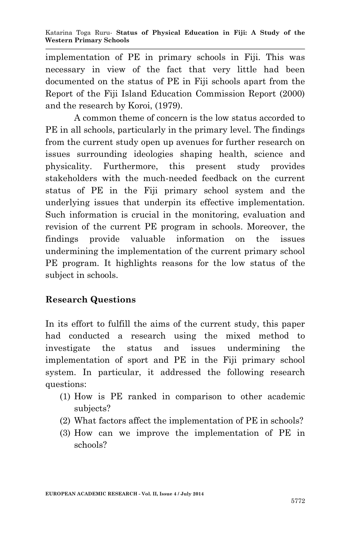implementation of PE in primary schools in Fiji. This was necessary in view of the fact that very little had been documented on the status of PE in Fiji schools apart from the Report of the Fiji Island Education Commission Report (2000) and the research by Koroi, (1979).

A common theme of concern is the low status accorded to PE in all schools, particularly in the primary level. The findings from the current study open up avenues for further research on issues surrounding ideologies shaping health, science and physicality. Furthermore, this present study provides stakeholders with the much-needed feedback on the current status of PE in the Fiji primary school system and the underlying issues that underpin its effective implementation. Such information is crucial in the monitoring, evaluation and revision of the current PE program in schools. Moreover, the findings provide valuable information on the issues undermining the implementation of the current primary school PE program. It highlights reasons for the low status of the subject in schools.

# **Research Questions**

In its effort to fulfill the aims of the current study, this paper had conducted a research using the mixed method to investigate the status and issues undermining the implementation of sport and PE in the Fiji primary school system. In particular, it addressed the following research questions:

- (1) How is PE ranked in comparison to other academic subjects?
- (2) What factors affect the implementation of PE in schools?
- (3) How can we improve the implementation of PE in schools?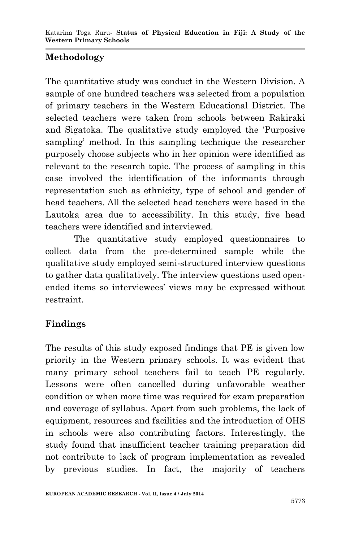# **Methodology**

The quantitative study was conduct in the Western Division. A sample of one hundred teachers was selected from a population of primary teachers in the Western Educational District. The selected teachers were taken from schools between Rakiraki and Sigatoka. The qualitative study employed the 'Purposive sampling' method. In this sampling technique the researcher purposely choose subjects who in her opinion were identified as relevant to the research topic. The process of sampling in this case involved the identification of the informants through representation such as ethnicity, type of school and gender of head teachers. All the selected head teachers were based in the Lautoka area due to accessibility. In this study, five head teachers were identified and interviewed.

The quantitative study employed questionnaires to collect data from the pre-determined sample while the qualitative study employed semi-structured interview questions to gather data qualitatively. The interview questions used openended items so interviewees' views may be expressed without restraint.

# **Findings**

The results of this study exposed findings that PE is given low priority in the Western primary schools. It was evident that many primary school teachers fail to teach PE regularly. Lessons were often cancelled during unfavorable weather condition or when more time was required for exam preparation and coverage of syllabus. Apart from such problems, the lack of equipment, resources and facilities and the introduction of OHS in schools were also contributing factors. Interestingly, the study found that insufficient teacher training preparation did not contribute to lack of program implementation as revealed by previous studies. In fact, the majority of teachers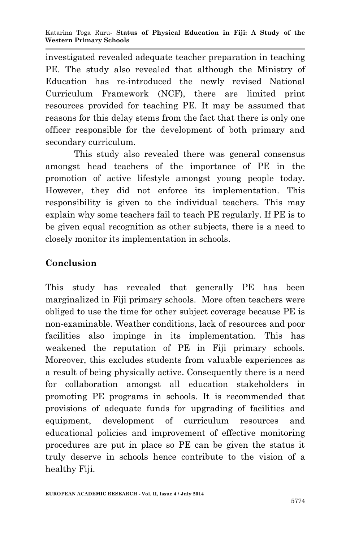investigated revealed adequate teacher preparation in teaching PE. The study also revealed that although the Ministry of Education has re-introduced the newly revised National Curriculum Framework (NCF), there are limited print resources provided for teaching PE. It may be assumed that reasons for this delay stems from the fact that there is only one officer responsible for the development of both primary and secondary curriculum.

This study also revealed there was general consensus amongst head teachers of the importance of PE in the promotion of active lifestyle amongst young people today. However, they did not enforce its implementation. This responsibility is given to the individual teachers. This may explain why some teachers fail to teach PE regularly. If PE is to be given equal recognition as other subjects, there is a need to closely monitor its implementation in schools.

## **Conclusion**

This study has revealed that generally PE has been marginalized in Fiji primary schools. More often teachers were obliged to use the time for other subject coverage because PE is non-examinable. Weather conditions, lack of resources and poor facilities also impinge in its implementation. This has weakened the reputation of PE in Fiji primary schools. Moreover, this excludes students from valuable experiences as a result of being physically active. Consequently there is a need for collaboration amongst all education stakeholders in promoting PE programs in schools. It is recommended that provisions of adequate funds for upgrading of facilities and equipment, development of curriculum resources and educational policies and improvement of effective monitoring procedures are put in place so PE can be given the status it truly deserve in schools hence contribute to the vision of a healthy Fiji.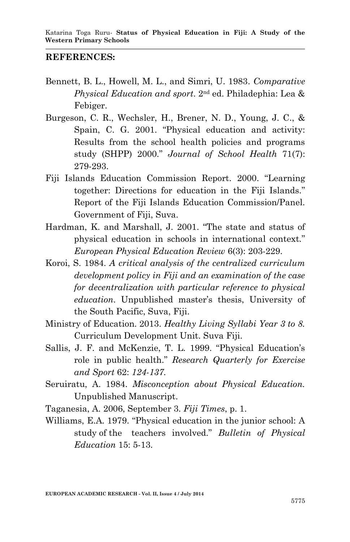### **REFERENCES:**

- Bennett, B. L., Howell, M. L., and Simri, U. 1983. *Comparative Physical Education and sport*. 2nd ed. Philadephia: Lea & Febiger.
- Burgeson, C. R., Wechsler, H., Brener, N. D., Young, J. C., & Spain, C. G. 2001. "Physical education and activity: Results from the school health policies and programs study (SHPP) 2000." *Journal of School Health* 71(7): 279-293.
- Fiji Islands Education Commission Report. 2000. "Learning together: Directions for education in the Fiji Islands." Report of the Fiji Islands Education Commission/Panel. Government of Fiji, Suva.
- Hardman, K. and Marshall, J. 2001. "The state and status of physical education in schools in international context." *European Physical Education Review* 6(3): 203-229.
- Koroi, S. 1984. *A critical analysis of the centralized curriculum development policy in Fiji and an examination of the case for decentralization with particular reference to physical education*. Unpublished master's thesis, University of the South Pacific, Suva, Fiji.
- Ministry of Education. 2013. *Healthy Living Syllabi Year 3 to 8.*  Curriculum Development Unit. Suva Fiji.
- Sallis, J. F. and McKenzie, T. L. 1999. "Physical Education's role in public health." *Research Quarterly for Exercise and Sport* 62: *124-137.*
- Seruiratu, A. 1984. *Misconception about Physical Education.*  Unpublished Manuscript.
- Taganesia, A. 2006, September 3. *Fiji Times*, p. 1.
- Williams, E.A. 1979. "Physical education in the junior school: A study of the teachers involved." *Bulletin of Physical Education* 15: 5-13.